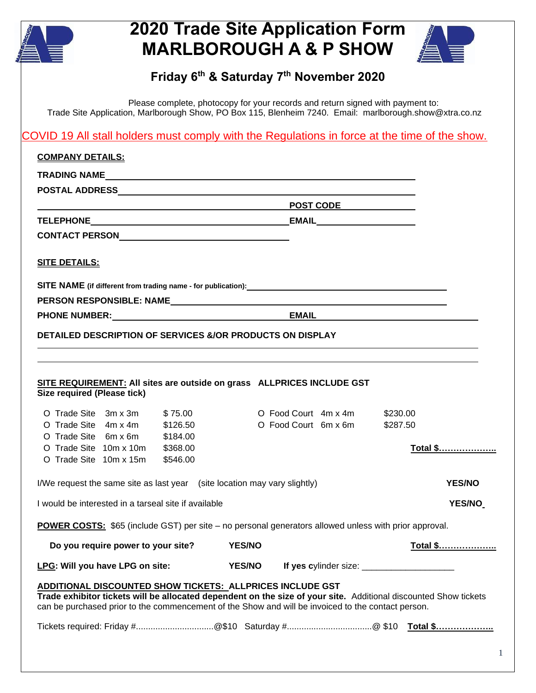

## **2020 Trade Site Application Form MARLBOROUGH A & P SHOW**



## **Friday 6th & Saturday 7 th November 2020**

Please complete, photocopy for your records and return signed with payment to: Trade Site Application, Marlborough Show, PO Box 115, Blenheim 7240. Email: marlborough.show@xtra.co.nz

COVID 19 All stall holders must comply with the Regulations in force at the time of the show.

| <b>COMPANY DETAILS:</b>                                                                                                                                                                                                                                                                    |          |               |                      |  |               |                 |  |
|--------------------------------------------------------------------------------------------------------------------------------------------------------------------------------------------------------------------------------------------------------------------------------------------|----------|---------------|----------------------|--|---------------|-----------------|--|
|                                                                                                                                                                                                                                                                                            |          |               |                      |  |               |                 |  |
|                                                                                                                                                                                                                                                                                            |          |               |                      |  |               |                 |  |
| POST CODE                                                                                                                                                                                                                                                                                  |          |               |                      |  |               |                 |  |
|                                                                                                                                                                                                                                                                                            |          |               |                      |  |               |                 |  |
|                                                                                                                                                                                                                                                                                            |          |               |                      |  |               |                 |  |
| <b>SITE DETAILS:</b>                                                                                                                                                                                                                                                                       |          |               |                      |  |               |                 |  |
|                                                                                                                                                                                                                                                                                            |          |               |                      |  |               |                 |  |
|                                                                                                                                                                                                                                                                                            |          |               |                      |  |               |                 |  |
| PHONE NUMBER: The contract of the contract of the contract of the contract of the contract of the contract of the contract of the contract of the contract of the contract of the contract of the contract of the contract of                                                              |          |               |                      |  |               |                 |  |
| <b>DETAILED DESCRIPTION OF SERVICES &amp;/OR PRODUCTS ON DISPLAY</b>                                                                                                                                                                                                                       |          |               |                      |  |               |                 |  |
|                                                                                                                                                                                                                                                                                            |          |               |                      |  |               |                 |  |
| SITE REQUIREMENT: All sites are outside on grass    ALLPRICES INCLUDE GST<br>Size required (Please tick)                                                                                                                                                                                   |          |               |                      |  |               |                 |  |
| O Trade Site $3m \times 3m$ \$75.00                                                                                                                                                                                                                                                        |          |               | O Food Court 4m x 4m |  | \$230.00      |                 |  |
| O Trade Site $4m \times 4m$ \$126.50<br>O Trade Site 6m x 6m                                                                                                                                                                                                                               | \$184.00 |               | O Food Court 6m x 6m |  | \$287.50      |                 |  |
| O Trade Site 10m x 10m                                                                                                                                                                                                                                                                     | \$368.00 |               |                      |  |               | Total \$        |  |
| O Trade Site 10m x 15m                                                                                                                                                                                                                                                                     | \$546.00 |               |                      |  |               |                 |  |
| I/We request the same site as last year (site location may vary slightly)                                                                                                                                                                                                                  |          |               |                      |  | <b>YES/NO</b> |                 |  |
| I would be interested in a tarseal site if available                                                                                                                                                                                                                                       |          |               |                      |  |               | <b>YES/NO</b>   |  |
| <b>POWER COSTS:</b> \$65 (include GST) per site – no personal generators allowed unless with prior approval.                                                                                                                                                                               |          |               |                      |  |               |                 |  |
| Do you require power to your site?                                                                                                                                                                                                                                                         |          | <b>YES/NO</b> |                      |  |               | <u>Total \$</u> |  |
| LPG: Will you have LPG on site:                                                                                                                                                                                                                                                            |          | <b>YES/NO</b> |                      |  |               |                 |  |
| <b>ADDITIONAL DISCOUNTED SHOW TICKETS: ALLPRICES INCLUDE GST</b><br>Trade exhibitor tickets will be allocated dependent on the size of your site. Additional discounted Show tickets<br>can be purchased prior to the commencement of the Show and will be invoiced to the contact person. |          |               |                      |  |               |                 |  |
|                                                                                                                                                                                                                                                                                            |          |               |                      |  |               |                 |  |
|                                                                                                                                                                                                                                                                                            |          |               |                      |  |               |                 |  |
|                                                                                                                                                                                                                                                                                            |          |               |                      |  |               |                 |  |